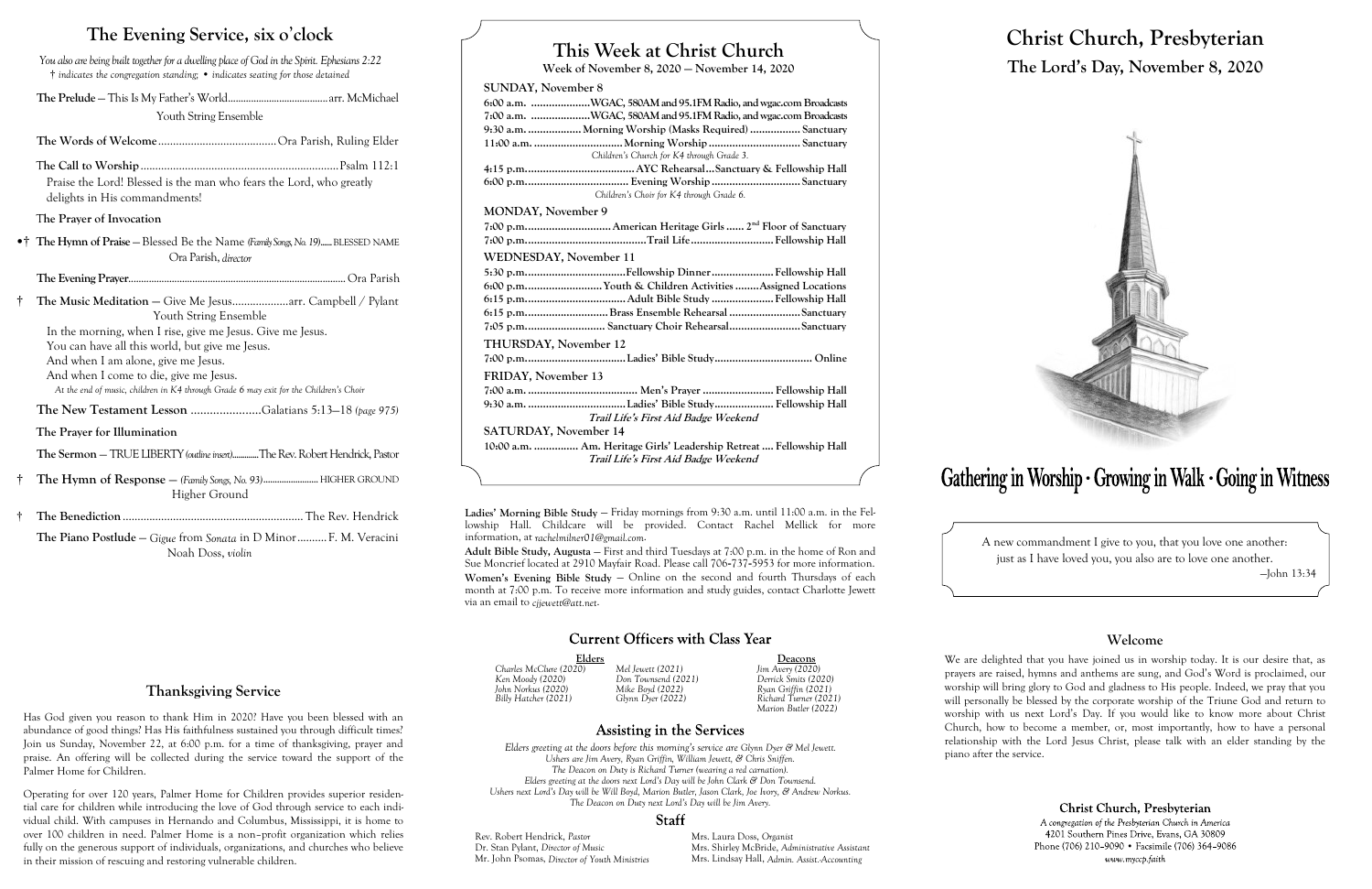### **This Week at Christ Church**

**Week of November 8, 2020 — November 14, 2020**

#### **SUNDAY, November 8**

| 6:00 a.m. WGAC, 580AM and 95.1FM Radio, and wgac.com Broadcasts     |
|---------------------------------------------------------------------|
| 7:00 a.m. WGAC, 580AM and 95.1FM Radio, and wgac.com Broadcasts     |
| 9:30 a.m.  Morning Worship (Masks Required)  Sanctuary              |
|                                                                     |
| Children's Church for K4 through Grade 3.                           |
|                                                                     |
|                                                                     |
| Children's Choir for K4 through Grade 6.                            |
| <b>MONDAY, November 9</b>                                           |
|                                                                     |
|                                                                     |
| <b>WEDNESDAY, November 11</b>                                       |
|                                                                     |
| 6:00 p.mYouth & Children Activities Assigned Locations              |
|                                                                     |
| 6:15 p.mBrass Ensemble Rehearsal Sanctuary                          |
| 7:05 p.m Sanctuary Choir RehearsalSanctuary                         |
| THURSDAY, November 12                                               |
|                                                                     |
| FRIDAY, November 13                                                 |
|                                                                     |
|                                                                     |
| Trail Life's First Aid Badge Weekend                                |
| SATURDAY, November 14                                               |
| 10:00 a.m.  Am. Heritage Girls' Leadership Retreat  Fellowship Hall |
| Trail Life's First Aid Badge Weekend                                |

# Gathering in Worship · Growing in Walk · Going in Witness

Elders **Deacons**<br>
20) Mel Jewett (2021) Jim Avery (2020) *Ken Moody (2020) Don Townsend (2021) Derrick Smits (2020) Billy Hatcher (2021) Glynn Dyer (2022) Richard Turner (2021) Marion Butler (2022)*

### Assisting in the Services

## *Charles McClure (2020) Mel Jewett (2021) Jim Avery (2020) John Norkus (2020) Mike Boyd (2022) Ryan Griffin (2021)*

*Elders greeting at the doors before this morning's service are Glynn Dyer & Mel Jewett. Ushers are Jim Avery, Ryan Griffin, William Jewett, & Chris Sniffen. The Deacon on Duty is Richard Turner (wearing a red carnation). Elders greeting at the doors next Lord's Day will be John Clark & Don Townsend. Ushers next Lord's Day will be Will Boyd, Marion Butler, Jason Clark, Joe Ivory, & Andrew Norkus. The Deacon on Duty next Lord's Day will be Jim Avery.*

#### **Staff**

Rev. Robert Hendrick, *Pastor* Mrs. Laura Doss, *Organist*<br>
Dr. Stan Pylant, *Director of Music* Mrs. Shirley McBride, Adr Mr. John Psomas, *Director of Youth Ministries* 

Mrs. Shirley McBride, *Administrative Assistant*<br>Mrs. Lindsay Hall, *Admin. Assist. Accounting* 

# **Christ Church, Presbyterian The Lord's Day, November 8, 2020**



A new commandment I give to you, that you love one another: just as I have loved you, you also are to love one another.

—John 13:34

#### **Welcome**

We are delighted that you have joined us in worship today. It is our desire that, as prayers are raised, hymns and anthems are sung, and God's Word is proclaimed, our worship will bring glory to God and gladness to His people. Indeed, we pray that you will personally be blessed by the corporate worship of the Triune God and return to worship with us next Lord's Day. If you would like to know more about Christ Church, how to become a member, or, most importantly, how to have a personal relationship with the Lord Jesus Christ, please talk with an elder standing by the

Christ Church, Presbyterian

A congregation of the Presbyterian Church in America 4201 Southern Pines Drive, Evans, GA 30809 Phone (706) 210-9090 • Facsimile (706) 364-9086 www.myccp.faith

piano after the service.

### **The Evening Service, six o**'**clock**

*You also are being built together for a dwelling place of God in the Spirit. Ephesians 2:22* † *indicates the congregation standing;* • *indicates seating for those detained*

**The Prelude** — This Is My Father's World.......................................arr. McMichael

Youth String Ensemble

**The Words of Welcome**........................................Ora Parish, Ruling Elder

T**he Call to Worship**...................................................................Psalm 112:1 Praise the Lord! Blessed is the man who fears the Lord, who greatly delights in His commandments!

#### T**he Prayer of Invocation**

•† **The Hymn of Praise** — Blessed Be the Name *(Family Songs, No. 19)*......BLESSED NAME Ora Parish, *director*

**The Evening Prayer**.....................................................................................Ora Parish

† **The Music Meditation** — Give Me Jesus...................arr. Campbell / Pylant Youth String Ensemble

In the morning, when I rise, give me Jesus. Give me Jesus. You can have all this world, but give me Jesus. And when I am alone, give me Jesus. And when I come to die, give me Jesus.

*At the end of music, children in K4 through Grade 6 may exit for the Children's Choir*

**The New Testament Lesson** ......................Galatians 5:13—18 *(page 975)*

**The Prayer for Illumination**

**The Sermon** — TRUE LIBERTY *(outline insert)*.............The Rev. Robert Hendrick, Pastor

- † **The Hymn of Response**  *(Family Songs, No. 93)*........................HIGHER GROUND Higher Ground
- † **The Benediction**............................................................. The Rev. Hendrick

**The Piano Postlude** — *Gigue* from *Sonata* in D Minor..........F. M. Veracini Noah Doss, *violin*

**Ladies' Morning Bible Study** — Friday mornings from 9:30 a.m. until 11:00 a.m. in the Fellowship Hall. Childcare will be provided. Contact Rachel Mellick for more information, at *rachelmilner01@gmail.com*.

**Adult Bible Study, Augusta** — First and third Tuesdays at 7:00 p.m. in the home of Ron and Sue Moncrief located at 2910 Mayfair Road. Please call 706-737-5953 for more information. Women's Evening Bible Study – Online on the second and fourth Thursdays of each month at 7:00 p.m. To receive more information and study guides, contact Charlotte Jewett via an email to *cjjewett@att.net*.

#### **Current Officers with Class Year**

### **Thanksgiving Service**

Has God given you reason to thank Him in 2020? Have you been blessed with an abundance of good things? Has His faithfulness sustained you through difficult times? Join us Sunday, November 22, at 6:00 p.m. for a time of thanksgiving, prayer and praise. An offering will be collected during the service toward the support of the Palmer Home for Children.

Operating for over 120 years, Palmer Home for Children provides superior residential care for children while introducing the love of God through service to each individual child. With campuses in Hernando and Columbus, Mississippi, it is home to over 100 children in need. Palmer Home is a non–profit organization which relies fully on the generous support of individuals, organizations, and churches who believe in their mission of rescuing and restoring vulnerable children.